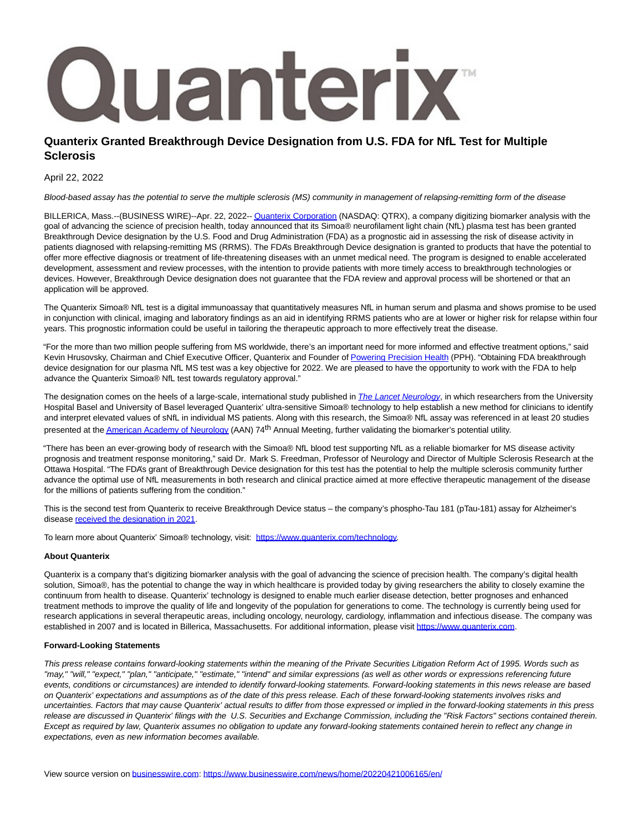

## **Quanterix Granted Breakthrough Device Designation from U.S. FDA for NfL Test for Multiple Sclerosis**

## April 22, 2022

Blood-based assay has the potential to serve the multiple sclerosis (MS) community in management of relapsing-remitting form of the disease

BILLERICA, Mass.--(BUSINESS WIRE)--Apr. 22, 2022-[- Quanterix Corporation \(](https://cts.businesswire.com/ct/CT?id=smartlink&url=http%3A%2F%2Fwww.quanterix.com%2F&esheet=52693874&newsitemid=20220421006165&lan=en-US&anchor=Quanterix+Corporation&index=1&md5=3414d356b7a8a9e8cbba83d3c754819d)NASDAQ: QTRX), a company digitizing biomarker analysis with the goal of advancing the science of precision health, today announced that its Simoa® neurofilament light chain (NfL) plasma test has been granted Breakthrough Device designation by the U.S. Food and Drug Administration (FDA) as a prognostic aid in assessing the risk of disease activity in patients diagnosed with relapsing-remitting MS (RRMS). The FDA's Breakthrough Device designation is granted to products that have the potential to offer more effective diagnosis or treatment of life-threatening diseases with an unmet medical need. The program is designed to enable accelerated development, assessment and review processes, with the intention to provide patients with more timely access to breakthrough technologies or devices. However, Breakthrough Device designation does not guarantee that the FDA review and approval process will be shortened or that an application will be approved.

The Quanterix Simoa® NfL test is a digital immunoassay that quantitatively measures NfL in human serum and plasma and shows promise to be used in conjunction with clinical, imaging and laboratory findings as an aid in identifying RRMS patients who are at lower or higher risk for relapse within four years. This prognostic information could be useful in tailoring the therapeutic approach to more effectively treat the disease.

"For the more than two million people suffering from MS worldwide, there's an important need for more informed and effective treatment options," said Kevin Hrusovsky, Chairman and Chief Executive Officer, Quanterix and Founder o[f Powering Precision Health \(](https://cts.businesswire.com/ct/CT?id=smartlink&url=https%3A%2F%2Fpoweringprecisionhealth.org%2F&esheet=52693874&newsitemid=20220421006165&lan=en-US&anchor=Powering+Precision+Health&index=2&md5=f1e26f63e13aa6297e1e390422767ec3)PPH). "Obtaining FDA breakthrough device designation for our plasma NfL MS test was a key objective for 2022. We are pleased to have the opportunity to work with the FDA to help advance the Quanterix Simoa® NfL test towards regulatory approval."

The designation comes on the heels of a large-scale, international study published in *[The Lancet Neurology](https://cts.businesswire.com/ct/CT?id=smartlink&url=https%3A%2F%2Fwww.thelancet.com%2Fjournals%2Flaneur%2Farticle%2FPIIS1474-4422%252822%252900009-6%2Ffulltext%3Frss%3Dyes&esheet=52693874&newsitemid=20220421006165&lan=en-US&anchor=The+Lancet+Neurology&index=3&md5=d5190d86d882a5f66be2926b47967d13)*, in which researchers from the University Hospital Basel and University of Basel leveraged Quanterix' ultra-sensitive Simoa® technology to help establish a new method for clinicians to identify and interpret elevated values of sNfL in individual MS patients. Along with this research, the Simoa® NfL assay was referenced in at least 20 studies presented at th[e American Academy of Neurology \(](https://cts.businesswire.com/ct/CT?id=smartlink&url=https%3A%2F%2Fwww.aan.com%2F&esheet=52693874&newsitemid=20220421006165&lan=en-US&anchor=American+Academy+of+Neurology&index=4&md5=77960d2bed2d8d4533bb136f709e6249)AAN) 74<sup>th</sup> Annual Meeting, further validating the biomarker's potential utility.

"There has been an ever-growing body of research with the Simoa® NfL blood test supporting NfL as a reliable biomarker for MS disease activity prognosis and treatment response monitoring," said Dr. Mark S. Freedman, Professor of Neurology and Director of Multiple Sclerosis Research at the Ottawa Hospital. "The FDA's grant of Breakthrough Device designation for this test has the potential to help the multiple sclerosis community further advance the optimal use of NfL measurements in both research and clinical practice aimed at more effective therapeutic management of the disease for the millions of patients suffering from the condition."

This is the second test from Quanterix to receive Breakthrough Device status – the company's phospho-Tau 181 (pTau-181) assay for Alzheimer's disease [received the designation in 2021.](https://cts.businesswire.com/ct/CT?id=smartlink&url=https%3A%2F%2Fwww.quanterix.com%2Fpress-releases%2Fquanterix-granted-breakthrough-device-designation-from-u-s-fda-for-blood-based-ptau-181-assay-for-alzheimers-disease%2F&esheet=52693874&newsitemid=20220421006165&lan=en-US&anchor=received+the+designation+in+2021&index=5&md5=b6fce6e37dc2d96c47b963c71ec6a330)

To learn more about Quanterix' Simoa® technology, visit: [https://www.quanterix.com/technology.](https://cts.businesswire.com/ct/CT?id=smartlink&url=https%3A%2F%2Fwww.quanterix.com%2Ftechnology&esheet=52693874&newsitemid=20220421006165&lan=en-US&anchor=https%3A%2F%2Fwww.quanterix.com%2Ftechnology&index=6&md5=7f6a940716f8f53c7cf3586433ef061d)

## **About Quanterix**

Quanterix is a company that's digitizing biomarker analysis with the goal of advancing the science of precision health. The company's digital health solution, Simoa®, has the potential to change the way in which healthcare is provided today by giving researchers the ability to closely examine the continuum from health to disease. Quanterix' technology is designed to enable much earlier disease detection, better prognoses and enhanced treatment methods to improve the quality of life and longevity of the population for generations to come. The technology is currently being used for research applications in several therapeutic areas, including oncology, neurology, cardiology, inflammation and infectious disease. The company was established in 2007 and is located in Billerica, Massachusetts. For additional information, please visit [https://www.quanterix.com.](https://cts.businesswire.com/ct/CT?id=smartlink&url=https%3A%2F%2Fwww.quanterix.com&esheet=52693874&newsitemid=20220421006165&lan=en-US&anchor=https%3A%2F%2Fwww.quanterix.com&index=7&md5=6b5d9d4c2a6837e5b2fe236f5f8d0811)

## **Forward-Looking Statements**

This press release contains forward-looking statements within the meaning of the Private Securities Litigation Reform Act of 1995. Words such as "may," "will," "expect," "plan," "anticipate," "estimate," "intend" and similar expressions (as well as other words or expressions referencing future events, conditions or circumstances) are intended to identify forward-looking statements. Forward-looking statements in this news release are based on Quanterix' expectations and assumptions as of the date of this press release. Each of these forward-looking statements involves risks and uncertainties. Factors that may cause Quanterix' actual results to differ from those expressed or implied in the forward-looking statements in this press release are discussed in Quanterix' filings with the U.S. Securities and Exchange Commission, including the "Risk Factors" sections contained therein. Except as required by law, Quanterix assumes no obligation to update any forward-looking statements contained herein to reflect any change in expectations, even as new information becomes available.